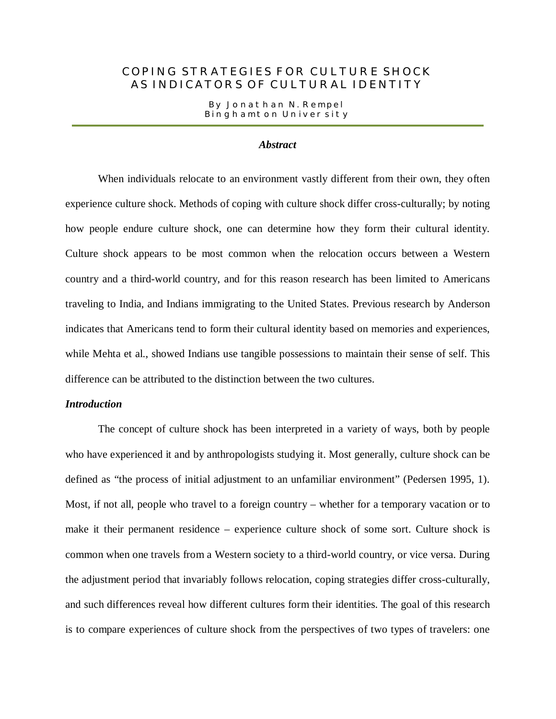# COPING STRATEGIES FOR CULTURE SHOCK AS INDICATORS OF CULTURAL IDENTITY

By Jonathan N. Rempel Binghamton University

## *Abstract*

When individuals relocate to an environment vastly different from their own, they often experience culture shock. Methods of coping with culture shock differ cross-culturally; by noting how people endure culture shock, one can determine how they form their cultural identity. Culture shock appears to be most common when the relocation occurs between a Western country and a third-world country, and for this reason research has been limited to Americans traveling to India, and Indians immigrating to the United States. Previous research by Anderson indicates that Americans tend to form their cultural identity based on memories and experiences, while Mehta et al., showed Indians use tangible possessions to maintain their sense of self. This difference can be attributed to the distinction between the two cultures.

# *Introduction*

The concept of culture shock has been interpreted in a variety of ways, both by people who have experienced it and by anthropologists studying it. Most generally, culture shock can be defined as "the process of initial adjustment to an unfamiliar environment" (Pedersen 1995, 1). Most, if not all, people who travel to a foreign country – whether for a temporary vacation or to make it their permanent residence – experience culture shock of some sort. Culture shock is common when one travels from a Western society to a third-world country, or vice versa. During the adjustment period that invariably follows relocation, coping strategies differ cross-culturally, and such differences reveal how different cultures form their identities. The goal of this research is to compare experiences of culture shock from the perspectives of two types of travelers: one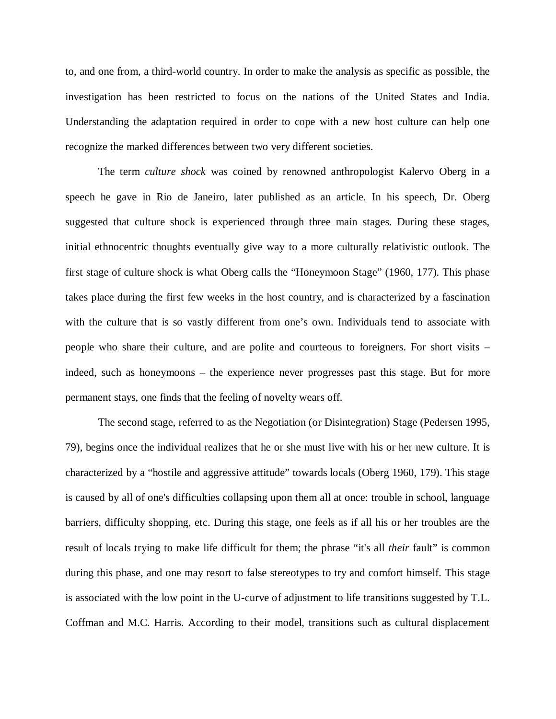to, and one from, a third-world country. In order to make the analysis as specific as possible, the investigation has been restricted to focus on the nations of the United States and India. Understanding the adaptation required in order to cope with a new host culture can help one recognize the marked differences between two very different societies.

The term *culture shock* was coined by renowned anthropologist Kalervo Oberg in a speech he gave in Rio de Janeiro, later published as an article. In his speech, Dr. Oberg suggested that culture shock is experienced through three main stages. During these stages, initial ethnocentric thoughts eventually give way to a more culturally relativistic outlook. The first stage of culture shock is what Oberg calls the "Honeymoon Stage" (1960, 177). This phase takes place during the first few weeks in the host country, and is characterized by a fascination with the culture that is so vastly different from one's own. Individuals tend to associate with people who share their culture, and are polite and courteous to foreigners. For short visits – indeed, such as honeymoons – the experience never progresses past this stage. But for more permanent stays, one finds that the feeling of novelty wears off.

The second stage, referred to as the Negotiation (or Disintegration) Stage (Pedersen 1995, 79), begins once the individual realizes that he or she must live with his or her new culture. It is characterized by a "hostile and aggressive attitude" towards locals (Oberg 1960, 179). This stage is caused by all of one's difficulties collapsing upon them all at once: trouble in school, language barriers, difficulty shopping, etc. During this stage, one feels as if all his or her troubles are the result of locals trying to make life difficult for them; the phrase "it's all *their* fault" is common during this phase, and one may resort to false stereotypes to try and comfort himself. This stage is associated with the low point in the U-curve of adjustment to life transitions suggested by T.L. Coffman and M.C. Harris. According to their model, transitions such as cultural displacement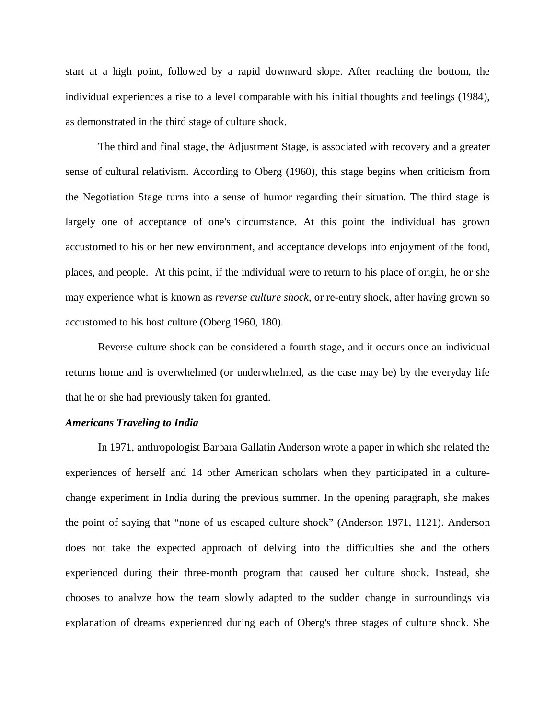start at a high point, followed by a rapid downward slope. After reaching the bottom, the individual experiences a rise to a level comparable with his initial thoughts and feelings (1984), as demonstrated in the third stage of culture shock.

The third and final stage, the Adjustment Stage, is associated with recovery and a greater sense of cultural relativism. According to Oberg (1960), this stage begins when criticism from the Negotiation Stage turns into a sense of humor regarding their situation. The third stage is largely one of acceptance of one's circumstance. At this point the individual has grown accustomed to his or her new environment, and acceptance develops into enjoyment of the food, places, and people. At this point, if the individual were to return to his place of origin, he or she may experience what is known as *reverse culture shock*, or re-entry shock, after having grown so accustomed to his host culture (Oberg 1960, 180).

Reverse culture shock can be considered a fourth stage, and it occurs once an individual returns home and is overwhelmed (or underwhelmed, as the case may be) by the everyday life that he or she had previously taken for granted.

#### *Americans Traveling to India*

In 1971, anthropologist Barbara Gallatin Anderson wrote a paper in which she related the experiences of herself and 14 other American scholars when they participated in a culturechange experiment in India during the previous summer. In the opening paragraph, she makes the point of saying that "none of us escaped culture shock" (Anderson 1971, 1121). Anderson does not take the expected approach of delving into the difficulties she and the others experienced during their three-month program that caused her culture shock. Instead, she chooses to analyze how the team slowly adapted to the sudden change in surroundings via explanation of dreams experienced during each of Oberg's three stages of culture shock. She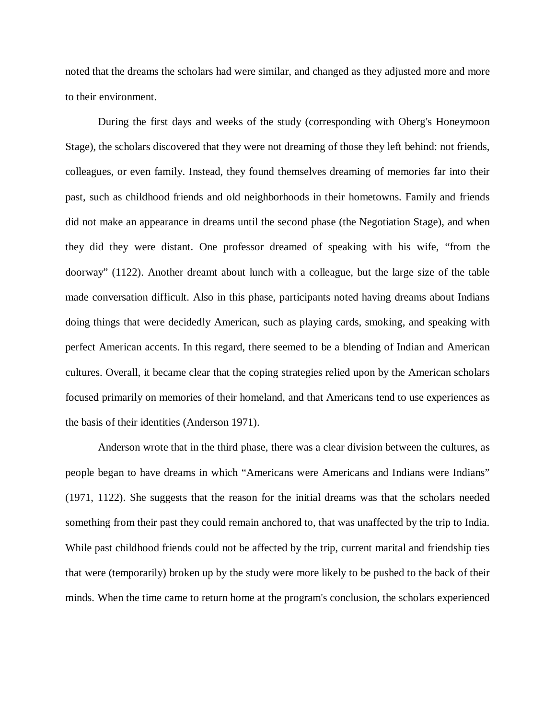noted that the dreams the scholars had were similar, and changed as they adjusted more and more to their environment.

During the first days and weeks of the study (corresponding with Oberg's Honeymoon Stage), the scholars discovered that they were not dreaming of those they left behind: not friends, colleagues, or even family. Instead, they found themselves dreaming of memories far into their past, such as childhood friends and old neighborhoods in their hometowns. Family and friends did not make an appearance in dreams until the second phase (the Negotiation Stage), and when they did they were distant. One professor dreamed of speaking with his wife, "from the doorway" (1122). Another dreamt about lunch with a colleague, but the large size of the table made conversation difficult. Also in this phase, participants noted having dreams about Indians doing things that were decidedly American, such as playing cards, smoking, and speaking with perfect American accents. In this regard, there seemed to be a blending of Indian and American cultures. Overall, it became clear that the coping strategies relied upon by the American scholars focused primarily on memories of their homeland, and that Americans tend to use experiences as the basis of their identities (Anderson 1971).

Anderson wrote that in the third phase, there was a clear division between the cultures, as people began to have dreams in which "Americans were Americans and Indians were Indians" (1971, 1122). She suggests that the reason for the initial dreams was that the scholars needed something from their past they could remain anchored to, that was unaffected by the trip to India. While past childhood friends could not be affected by the trip, current marital and friendship ties that were (temporarily) broken up by the study were more likely to be pushed to the back of their minds. When the time came to return home at the program's conclusion, the scholars experienced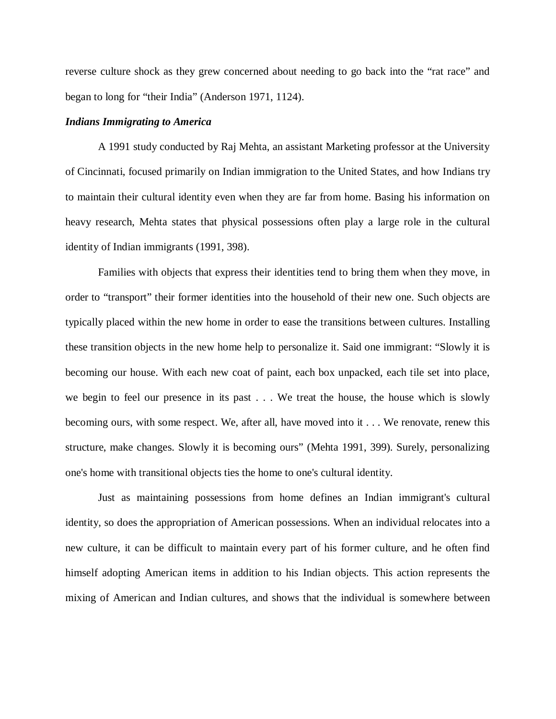reverse culture shock as they grew concerned about needing to go back into the "rat race" and began to long for "their India" (Anderson 1971, 1124).

## *Indians Immigrating to America*

A 1991 study conducted by Raj Mehta, an assistant Marketing professor at the University of Cincinnati, focused primarily on Indian immigration to the United States, and how Indians try to maintain their cultural identity even when they are far from home. Basing his information on heavy research, Mehta states that physical possessions often play a large role in the cultural identity of Indian immigrants (1991, 398).

Families with objects that express their identities tend to bring them when they move, in order to "transport" their former identities into the household of their new one. Such objects are typically placed within the new home in order to ease the transitions between cultures. Installing these transition objects in the new home help to personalize it. Said one immigrant: "Slowly it is becoming our house. With each new coat of paint, each box unpacked, each tile set into place, we begin to feel our presence in its past . . . We treat the house, the house which is slowly becoming ours, with some respect. We, after all, have moved into it . . . We renovate, renew this structure, make changes. Slowly it is becoming ours" (Mehta 1991, 399). Surely, personalizing one's home with transitional objects ties the home to one's cultural identity.

Just as maintaining possessions from home defines an Indian immigrant's cultural identity, so does the appropriation of American possessions. When an individual relocates into a new culture, it can be difficult to maintain every part of his former culture, and he often find himself adopting American items in addition to his Indian objects. This action represents the mixing of American and Indian cultures, and shows that the individual is somewhere between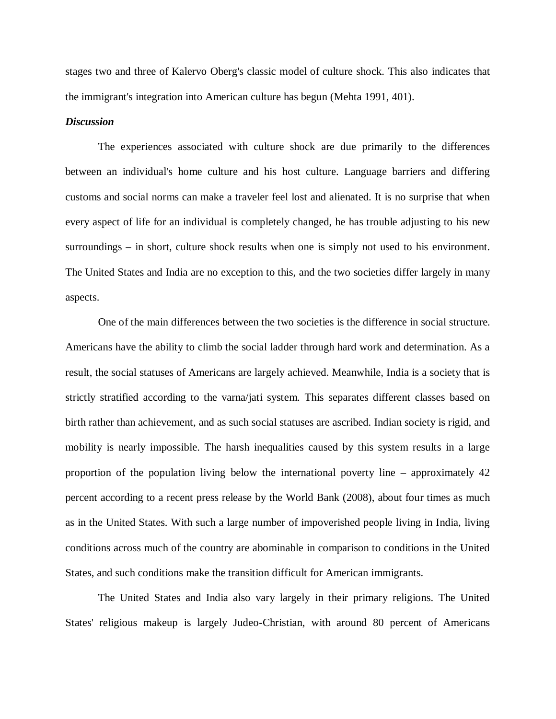stages two and three of Kalervo Oberg's classic model of culture shock. This also indicates that the immigrant's integration into American culture has begun (Mehta 1991, 401).

### *Discussion*

The experiences associated with culture shock are due primarily to the differences between an individual's home culture and his host culture. Language barriers and differing customs and social norms can make a traveler feel lost and alienated. It is no surprise that when every aspect of life for an individual is completely changed, he has trouble adjusting to his new surroundings – in short, culture shock results when one is simply not used to his environment. The United States and India are no exception to this, and the two societies differ largely in many aspects.

One of the main differences between the two societies is the difference in social structure. Americans have the ability to climb the social ladder through hard work and determination. As a result, the social statuses of Americans are largely achieved. Meanwhile, India is a society that is strictly stratified according to the varna/jati system. This separates different classes based on birth rather than achievement, and as such social statuses are ascribed. Indian society is rigid, and mobility is nearly impossible. The harsh inequalities caused by this system results in a large proportion of the population living below the international poverty line – approximately 42 percent according to a recent press release by the World Bank (2008), about four times as much as in the United States. With such a large number of impoverished people living in India, living conditions across much of the country are abominable in comparison to conditions in the United States, and such conditions make the transition difficult for American immigrants.

The United States and India also vary largely in their primary religions. The United States' religious makeup is largely Judeo-Christian, with around 80 percent of Americans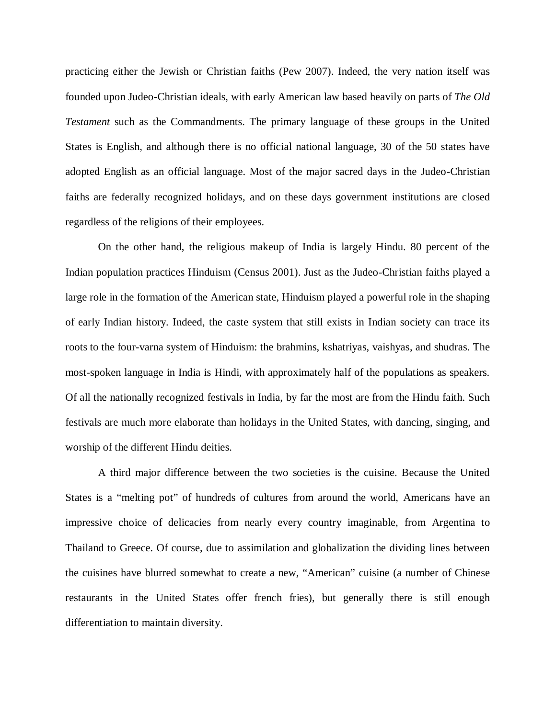practicing either the Jewish or Christian faiths (Pew 2007). Indeed, the very nation itself was founded upon Judeo-Christian ideals, with early American law based heavily on parts of *The Old Testament* such as the Commandments. The primary language of these groups in the United States is English, and although there is no official national language, 30 of the 50 states have adopted English as an official language. Most of the major sacred days in the Judeo-Christian faiths are federally recognized holidays, and on these days government institutions are closed regardless of the religions of their employees.

On the other hand, the religious makeup of India is largely Hindu. 80 percent of the Indian population practices Hinduism (Census 2001). Just as the Judeo-Christian faiths played a large role in the formation of the American state, Hinduism played a powerful role in the shaping of early Indian history. Indeed, the caste system that still exists in Indian society can trace its roots to the four-varna system of Hinduism: the brahmins, kshatriyas, vaishyas, and shudras. The most-spoken language in India is Hindi, with approximately half of the populations as speakers. Of all the nationally recognized festivals in India, by far the most are from the Hindu faith. Such festivals are much more elaborate than holidays in the United States, with dancing, singing, and worship of the different Hindu deities.

A third major difference between the two societies is the cuisine. Because the United States is a "melting pot" of hundreds of cultures from around the world, Americans have an impressive choice of delicacies from nearly every country imaginable, from Argentina to Thailand to Greece. Of course, due to assimilation and globalization the dividing lines between the cuisines have blurred somewhat to create a new, "American" cuisine (a number of Chinese restaurants in the United States offer french fries), but generally there is still enough differentiation to maintain diversity.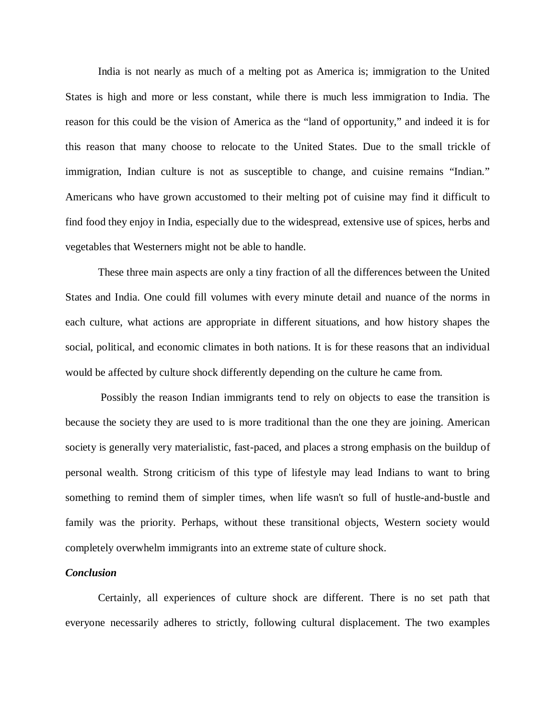India is not nearly as much of a melting pot as America is; immigration to the United States is high and more or less constant, while there is much less immigration to India. The reason for this could be the vision of America as the "land of opportunity," and indeed it is for this reason that many choose to relocate to the United States. Due to the small trickle of immigration, Indian culture is not as susceptible to change, and cuisine remains "Indian." Americans who have grown accustomed to their melting pot of cuisine may find it difficult to find food they enjoy in India, especially due to the widespread, extensive use of spices, herbs and vegetables that Westerners might not be able to handle.

These three main aspects are only a tiny fraction of all the differences between the United States and India. One could fill volumes with every minute detail and nuance of the norms in each culture, what actions are appropriate in different situations, and how history shapes the social, political, and economic climates in both nations. It is for these reasons that an individual would be affected by culture shock differently depending on the culture he came from.

Possibly the reason Indian immigrants tend to rely on objects to ease the transition is because the society they are used to is more traditional than the one they are joining. American society is generally very materialistic, fast-paced, and places a strong emphasis on the buildup of personal wealth. Strong criticism of this type of lifestyle may lead Indians to want to bring something to remind them of simpler times, when life wasn't so full of hustle-and-bustle and family was the priority. Perhaps, without these transitional objects, Western society would completely overwhelm immigrants into an extreme state of culture shock.

# *Conclusion*

Certainly, all experiences of culture shock are different. There is no set path that everyone necessarily adheres to strictly, following cultural displacement. The two examples